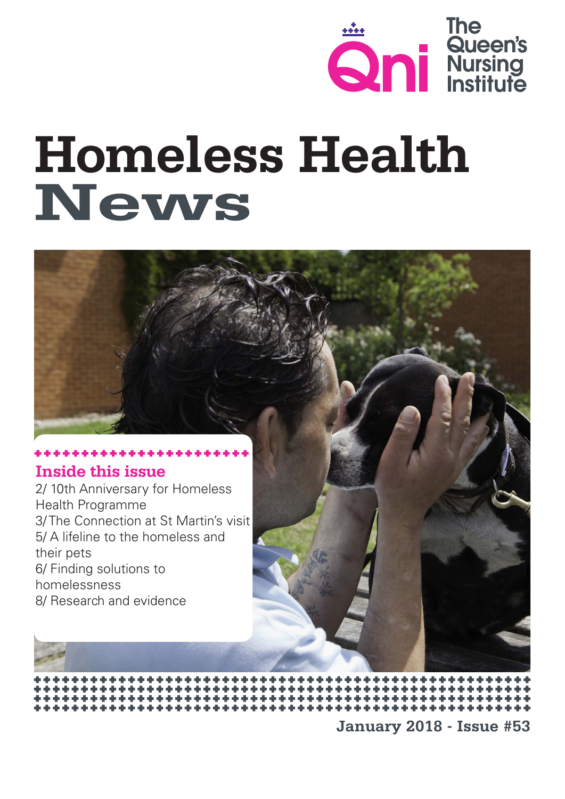

# **Homeless Health News**



Health Programme 3/ The Connection at St Martin's visit 5/ A lifeline to the homeless and their pets 6/ Finding solutions to homelessness 8/ Research and evidence

**January 2018 - Issue #53**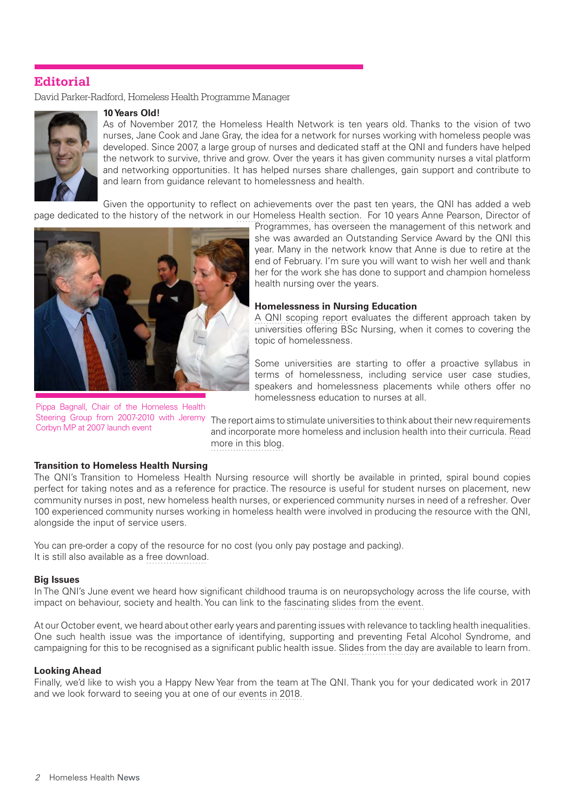# **Editorial**

David Parker-Radford, Homeless Health Programme Manager



#### **10 Years Old!**

As of November 2017, the Homeless Health Network is ten years old. Thanks to the vision of two nurses, Jane Cook and Jane Gray, the idea for a network for nurses working with homeless people was developed. Since 2007, a large group of nurses and dedicated staff at the QNI and funders have helped the network to survive, thrive and grow. Over the years it has given community nurses a vital platform and networking opportunities. It has helped nurses share challenges, gain support and contribute to and learn from guidance relevant to homelessness and health.

Given the opportunity to reflect on achievements over the past ten years, the QNI has added a web page dedicated to the history of the network in [our Homeless Health section.](https://www.qni.org.uk/explore-qni/homeless-health-programme/history-homeless-health-network/) For 10 years Anne Pearson, Director of



Pippa Bagnall, Chair of the Homeless Health Corbyn MP at 2007 launch event

Programmes, has overseen the management of this network and she was awarded an Outstanding Service Award by the QNI this year. Many in the network know that Anne is due to retire at the end of February. I'm sure you will want to wish her well and thank her for the work she has done to support and champion homeless health nursing over the years.

#### **Homelessness in Nursing Education**

[A QNI scoping report](https://www.qni.org.uk/resources/student-nurses-learn-health-needs-people-experiencing-homelessness/) evaluates the different approach taken by universities offering BSc Nursing, when it comes to covering the topic of homelessness.

Some universities are starting to offer a proactive syllabus in terms of homelessness, including service user case studies, speakers and homelessness placements while others offer no homelessness education to nurses at all.

Steering Group from 2007-2010 with Jeremy The report aims to stimulate universities to think about their new requirements and incorporate more homeless and inclusion health into their curricula. [Read](https://www.qni.org.uk/2017/12/01/opportunities-nursing-students-learn-health-homelessness/) [more in this blog.](https://www.qni.org.uk/2017/12/01/opportunities-nursing-students-learn-health-homelessness/)

#### **Transition to Homeless Health Nursing**

The QNI's Transition to Homeless Health Nursing resource will shortly be available in printed, spiral bound copies perfect for taking notes and as a reference for practice. The resource is useful for student nurses on placement, new community nurses in post, new homeless health nurses, or experienced community nurses in need of a refresher. Over 100 experienced community nurses working in homeless health were involved in producing the resource with the QNI, alongside the input of service users.

You can pre-order a copy of the resource for no cost (you only pay postage and packing). It is still also available as a [free download.](https://www.qni.org.uk/nursing-in-the-community/transition-community-nursing/homeless-health/)

#### **Big Issues**

In The QNI's June event we heard how significant childhood trauma is on neuropsychology across the life course, with impact on behaviour, society and health. You can link to the [fascinating slides from the event.](https://www.qni.org.uk/news-and-events/events/managing-psychological-trauma-healthcare/)

At our October event, we heard about other early years and parenting issues with relevance to tackling health inequalities. One such health issue was the importance of identifying, supporting and preventing Fetal Alcohol Syndrome, and campaigning for this to be recognised as a significant public health issue. [Slides from the day](https://www.qni.org.uk/news-and-events/events/inclusion-health-early-years/) are available to learn from.

#### **Looking Ahead**

Finally, we'd like to wish you a Happy New Year from the team at The QNI. Thank you for your dedicated work in 2017 and we look forward to seeing you at one of our [events in 2018.](https://www.qni.org.uk/news-and-events/events/)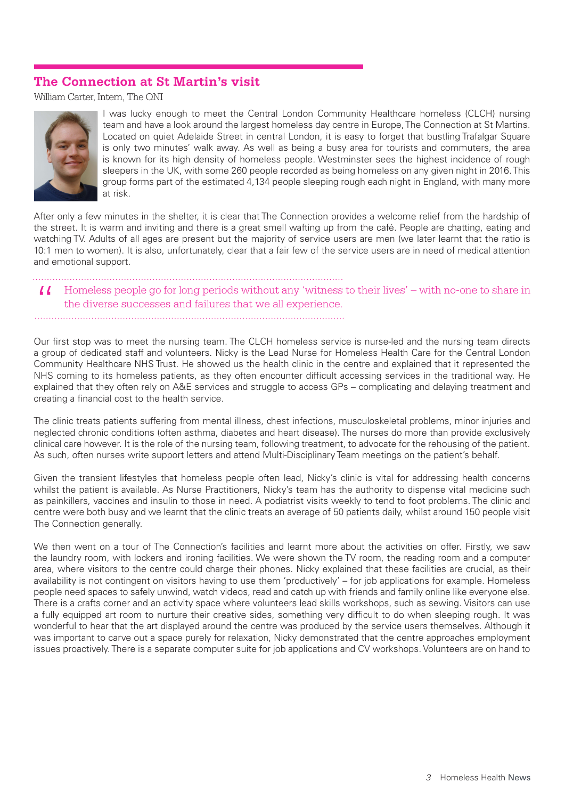## **The Connection at St Martin's visit**

William Carter, Intern, The QNI



I was lucky enough to meet the Central London Community Healthcare homeless (CLCH) nursing team and have a look around the largest homeless day centre in Europe, The Connection at St Martins. Located on quiet Adelaide Street in central London, it is easy to forget that bustling Trafalgar Square is only two minutes' walk away. As well as being a busy area for tourists and commuters, the area is known for its high density of homeless people. Westminster sees the highest incidence of rough sleepers in the UK, with some 260 people recorded as being homeless on any given night in 2016. This group forms part of the estimated 4,134 people sleeping rough each night in England, with many more at risk.

After only a few minutes in the shelter, it is clear that The Connection provides a welcome relief from the hardship of the street. It is warm and inviting and there is a great smell wafting up from the café. People are chatting, eating and watching TV. Adults of all ages are present but the majority of service users are men (we later learnt that the ratio is 10:1 men to women). It is also, unfortunately, clear that a fair few of the service users are in need of medical attention and emotional support.

#### 

Homeless people go for long periods without any 'witness to their lives' – with no-one to share in " the diverse successes and failures that we all experience.

Our first stop was to meet the nursing team. The CLCH homeless service is nurse-led and the nursing team directs a group of dedicated staff and volunteers. Nicky is the Lead Nurse for Homeless Health Care for the Central London Community Healthcare NHS Trust. He showed us the health clinic in the centre and explained that it represented the NHS coming to its homeless patients, as they often encounter difficult accessing services in the traditional way. He explained that they often rely on A&E services and struggle to access GPs – complicating and delaying treatment and creating a financial cost to the health service.

The clinic treats patients suffering from mental illness, chest infections, musculoskeletal problems, minor injuries and neglected chronic conditions (often asthma, diabetes and heart disease). The nurses do more than provide exclusively clinical care however. It is the role of the nursing team, following treatment, to advocate for the rehousing of the patient. As such, often nurses write support letters and attend Multi-Disciplinary Team meetings on the patient's behalf.

Given the transient lifestyles that homeless people often lead, Nicky's clinic is vital for addressing health concerns whilst the patient is available. As Nurse Practitioners, Nicky's team has the authority to dispense vital medicine such as painkillers, vaccines and insulin to those in need. A podiatrist visits weekly to tend to foot problems. The clinic and centre were both busy and we learnt that the clinic treats an average of 50 patients daily, whilst around 150 people visit The Connection generally.

We then went on a tour of The Connection's facilities and learnt more about the activities on offer. Firstly, we saw the laundry room, with lockers and ironing facilities. We were shown the TV room, the reading room and a computer area, where visitors to the centre could charge their phones. Nicky explained that these facilities are crucial, as their availability is not contingent on visitors having to use them 'productively' – for job applications for example. Homeless people need spaces to safely unwind, watch videos, read and catch up with friends and family online like everyone else. There is a crafts corner and an activity space where volunteers lead skills workshops, such as sewing. Visitors can use a fully equipped art room to nurture their creative sides, something very difficult to do when sleeping rough. It was wonderful to hear that the art displayed around the centre was produced by the service users themselves. Although it was important to carve out a space purely for relaxation, Nicky demonstrated that the centre approaches employment issues proactively. There is a separate computer suite for job applications and CV workshops. Volunteers are on hand to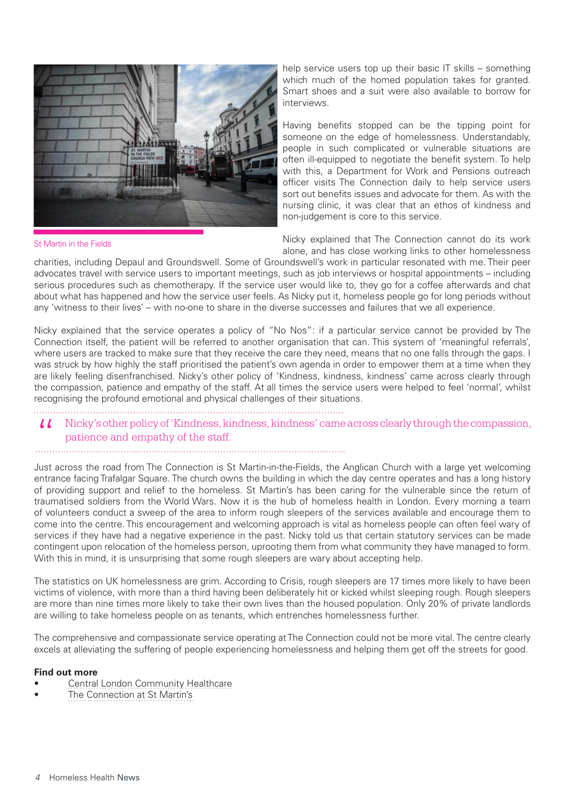

St Martin in the Fields

help service users top up their basic IT skills – something which much of the homed population takes for granted. Smart shoes and a suit were also available to borrow for interviews.

Having benefits stopped can be the tipping point for someone on the edge of homelessness. Understandably, people in such complicated or vulnerable situations are often ill-equipped to negotiate the benefit system. To help with this, a Department for Work and Pensions outreach officer visits The Connection daily to help service users sort out benefits issues and advocate for them. As with the nursing clinic, it was clear that an ethos of kindness and non-judgement is core to this service.

Nicky explained that The Connection cannot do its work alone, and has close working links to other homelessness

charities, including Depaul and Groundswell. Some of Groundswell's work in particular resonated with me. Their peer advocates travel with service users to important meetings, such as job interviews or hospital appointments – including serious procedures such as chemotherapy. If the service user would like to, they go for a coffee afterwards and chat about what has happened and how the service user feels. As Nicky put it, homeless people go for long periods without any 'witness to their lives' – with no-one to share in the diverse successes and failures that we all experience.

Nicky explained that the service operates a policy of "No Nos": if a particular service cannot be provided by The Connection itself, the patient will be referred to another organisation that can. This system of 'meaningful referrals', where users are tracked to make sure that they receive the care they need, means that no one falls through the gaps. I was struck by how highly the staff prioritised the patient's own agenda in order to empower them at a time when they are likely feeling disenfranchised. Nicky's other policy of 'Kindness, kindness, kindness' came across clearly through the compassion, patience and empathy of the staff. At all times the service users were helped to feel 'normal', whilst recognising the profound emotional and physical challenges of their situations.

I Nicky's other policy of 'Kindness, kindness, kindness' came across clearly through the compassion, patience and empathy of the staff. patience and empathy of the staff.

Just across the road from The Connection is St Martin-in-the-Fields, the Anglican Church with a large yet welcoming entrance facing Trafalgar Square. The church owns the building in which the day centre operates and has a long history of providing support and relief to the homeless. St Martin's has been caring for the vulnerable since the return of traumatised soldiers from the World Wars. Now it is the hub of homeless health in London. Every morning a team of volunteers conduct a sweep of the area to inform rough sleepers of the services available and encourage them to come into the centre. This encouragement and welcoming approach is vital as homeless people can often feel wary of services if they have had a negative experience in the past. Nicky told us that certain statutory services can be made contingent upon relocation of the homeless person, uprooting them from what community they have managed to form. With this in mind, it is unsurprising that some rough sleepers are wary about accepting help.

The statistics on UK homelessness are grim. According to Crisis, rough sleepers are 17 times more likely to have been victims of violence, with more than a third having been deliberately hit or kicked whilst sleeping rough. Rough sleepers are more than nine times more likely to take their own lives than the housed population. Only 20% of private landlords are willing to take homeless people on as tenants, which entrenches homelessness further.

The comprehensive and compassionate service operating at The Connection could not be more vital. The centre clearly excels at alleviating the suffering of people experiencing homelessness and helping them get off the streets for good.

#### **Find out more**

- Central London Community Healthcare
- The Connection at St Martin's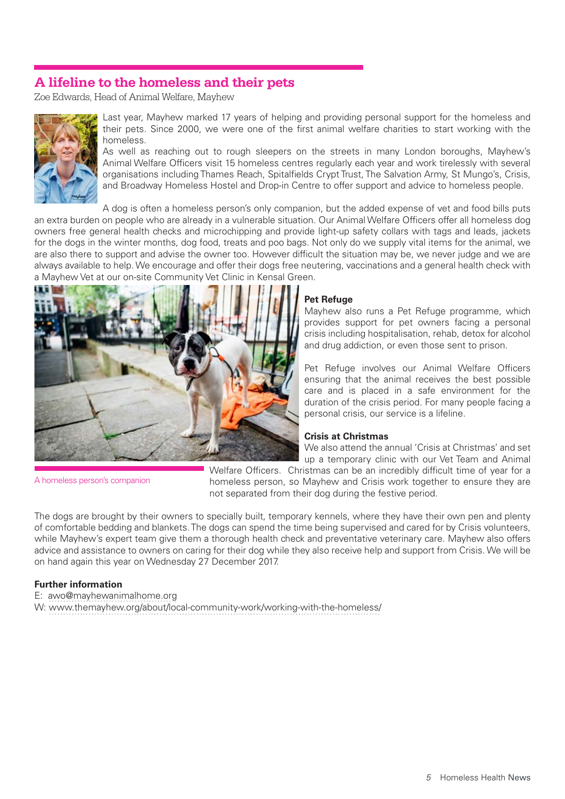# **A lifeline to the homeless and their pets**

Zoe Edwards, Head of Animal Welfare, Mayhew



Last year, Mayhew marked 17 years of helping and providing personal support for the homeless and their pets. Since 2000, we were one of the first animal welfare charities to start working with the homeless.

As well as reaching out to rough sleepers on the streets in many London boroughs, Mayhew's Animal Welfare Officers visit 15 homeless centres regularly each year and work tirelessly with several organisations including Thames Reach, Spitalfields Crypt Trust, The Salvation Army, St Mungo's, Crisis, and Broadway Homeless Hostel and Drop-in Centre to offer support and advice to homeless people.

A dog is often a homeless person's only companion, but the added expense of vet and food bills puts an extra burden on people who are already in a vulnerable situation. Our Animal Welfare Officers offer all homeless dog owners free general health checks and microchipping and provide light-up safety collars with tags and leads, jackets for the dogs in the winter months, dog food, treats and poo bags. Not only do we supply vital items for the animal, we are also there to support and advise the owner too. However difficult the situation may be, we never judge and we are always available to help. We encourage and offer their dogs free neutering, vaccinations and a general health check with a Mayhew Vet at our on-site Community Vet Clinic in Kensal Green.



#### **Pet Refuge**

Mayhew also runs a Pet Refuge programme, which provides support for pet owners facing a personal crisis including hospitalisation, rehab, detox for alcohol and drug addiction, or even those sent to prison.

Pet Refuge involves our Animal Welfare Officers ensuring that the animal receives the best possible care and is placed in a safe environment for the duration of the crisis period. For many people facing a personal crisis, our service is a lifeline.

#### **Crisis at Christmas**

We also attend the annual 'Crisis at Christmas' and set up a temporary clinic with our Vet Team and Animal

A homeless person's companion

Welfare Officers. Christmas can be an incredibly difficult time of year for a homeless person, so Mayhew and Crisis work together to ensure they are not separated from their dog during the festive period.

The dogs are brought by their owners to specially built, temporary kennels, where they have their own pen and plenty of comfortable bedding and blankets. The dogs can spend the time being supervised and cared for by Crisis volunteers, while Mayhew's expert team give them a thorough health check and preventative veterinary care. Mayhew also offers advice and assistance to owners on caring for their dog while they also receive help and support from Crisis. We will be on hand again this year on Wednesday 27 December 2017.

#### **Further information**

E: [awo@mayhewanimalhome.org](mailto:awo%40mayhewanimalhome.org%20?subject=) 

W:<www.themayhew.org/about/local-community-work/working-with-the-homeless/>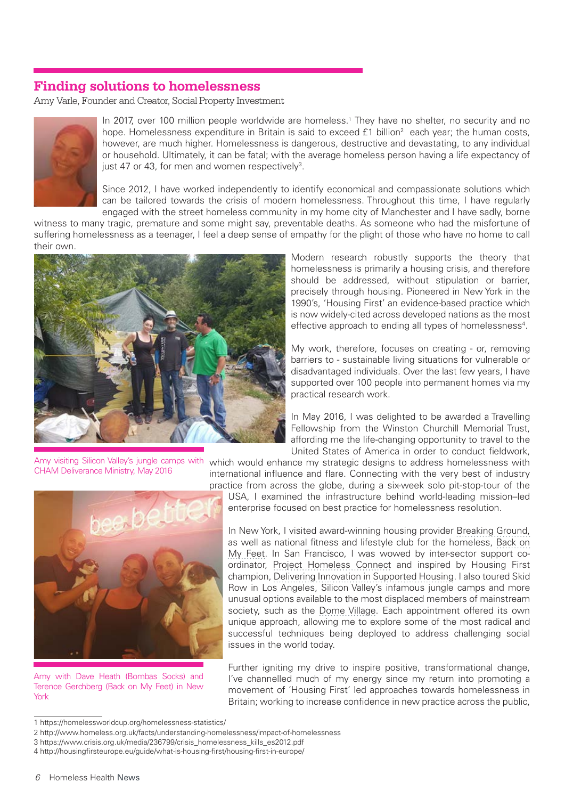## **Finding solutions to homelessness**

Amy Varle, Founder and Creator, Social Property Investment



In 2017, over 100 million people worldwide are homeless.<sup>1</sup> They have no shelter, no security and no hope. Homelessness expenditure in Britain is said to exceed £1 billion<sup>2</sup> each year; the human costs, however, are much higher. Homelessness is dangerous, destructive and devastating, to any individual or household. Ultimately, it can be fatal; with the average homeless person having a life expectancy of just 47 or 43, for men and women respectively<sup>3</sup>.

Since 2012, I have worked independently to identify economical and compassionate solutions which can be tailored towards the crisis of modern homelessness. Throughout this time, I have regularly engaged with the street homeless community in my home city of Manchester and I have sadly, borne

witness to many tragic, premature and some might say, preventable deaths. As someone who had the misfortune of suffering homelessness as a teenager, I feel a deep sense of empathy for the plight of those who have no home to call their own.



Modern research robustly supports the theory that homelessness is primarily a housing crisis, and therefore should be addressed, without stipulation or barrier, precisely through housing. Pioneered in New York in the 1990's, 'Housing First' an evidence-based practice which is now widely-cited across developed nations as the most effective approach to ending all types of homelessness<sup>4</sup>.

My work, therefore, focuses on creating - or, removing barriers to - sustainable living situations for vulnerable or disadvantaged individuals. Over the last few years, I have supported over 100 people into permanent homes via my practical research work.

In May 2016, I was delighted to be awarded a Travelling Fellowship from the Winston Churchill Memorial Trust, affording me the life-changing opportunity to travel to the United States of America in order to conduct fieldwork,

Amy visiting Silicon Valley's jungle camps with which would enhance my strategic designs to address homelessness with CHAM Deliverance Ministry, May 2016



Amy with Dave Heath (Bombas Socks) and Terence Gerchberg (Back on My Feet) in New York

international influence and flare. Connecting with the very best of industry practice from across the globe, during a six-week solo pit-stop-tour of the

USA, I examined the infrastructure behind world-leading mission–led enterprise focused on best practice for homelessness resolution.

In New York, I visited award-winning housing provider [Breaking Ground,](http://www.breakingground.org/) as well as national fitness and lifestyle club for the homeless, [Back on](https://www.backonmyfeet.org/)  [My Feet](https://www.backonmyfeet.org/). In San Francisco, I was wowed by inter-sector support coordinator, [Project Homeless Connect](https://www.projecthomelessconnect.org/) and inspired by Housing First champion, [Delivering Innovation in Supported Housing](http://dishsf.org/). I also toured Skid Row in Los Angeles, Silicon Valley's infamous jungle camps and more unusual options available to the most displaced members of mainstream society, such as the [Dome Village](http://domevillage.tedhayes.us/). Each appointment offered its own unique approach, allowing me to explore some of the most radical and successful techniques being deployed to address challenging social issues in the world today.

Further igniting my drive to inspire positive, transformational change, I've channelled much of my energy since my return into promoting a movement of 'Housing First' led approaches towards homelessness in Britain; working to increase confidence in new practice across the public,

<sup>1</sup> [https://homelessworldcup.org/homelessness-statistics/](https://homelessworldcup.org/homelessness-statistics/%20)

<sup>2</sup><http://www.homeless.org.uk/facts/understanding-homelessness/impact-of-homelessness>

<sup>3</sup> [https://www.crisis.org.uk/media/236799/crisis\\_homelessness\\_kills\\_es2012.pdf](https://www.crisis.org.uk/media/236799/crisis_homelessness_kills_es2012.pdf%09)

<sup>4</sup><http://housingfirsteurope.eu/guide/what-is-housing-first/housing-first-in-europe/>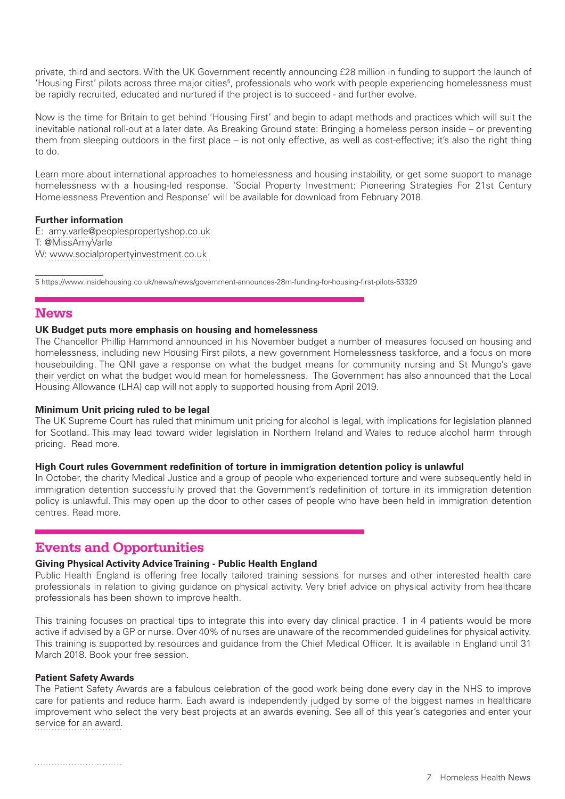private, third and sectors. With the UK Government recently announcing £28 million in funding to support the launch of 'Housing First' pilots across three major cities<sup>5</sup>, professionals who work with people experiencing homelessness must be rapidly recruited, educated and nurtured if the project is to succeed - and further evolve.

Now is the time for Britain to get behind 'Housing First' and begin to adapt methods and practices which will suit the inevitable national roll-out at a later date. As Breaking Ground state: Bringing a homeless person inside – or preventing them from sleeping outdoors in the first place – is not only effective, as well as cost-effective; it's also the right thing to do.

[Learn more](http://www.socialpropertyinvestment.co.uk/) about international approaches to homelessness and housing instability, or get some support to manage homelessness with a housing-led response. 'Social Property Investment: Pioneering Strategies For 21st Century Homelessness Prevention and Response' will be available for download from February 2018.

#### **Further information**

E: [amy.varle@peoplespropertyshop.co.uk](mailto:amy.varle%40peoplespropertyshop.co.uk?subject=) T: @MissAmyVarle W: [www.socialpropertyinvestment.co.uk](mailto:www.socialpropertyinvestment.co.uk?subject=)

5 <https://www.insidehousing.co.uk/news/news/government-announces-28m-funding-for-housing-first-pilots-53329>

## **News**

#### **UK Budget puts more emphasis on housing and homelessness**

The Chancellor Phillip Hammond announced in his November budget a number of measures focused on housing and homelessness, including new Housing First pilots, a new government Homelessness taskforce, and a focus on more housebuilding. The QNI gave [a response](https://www.qni.org.uk/news-and-events/news/qni-responds-autumn-budget/) on what the budget means for community nursing and St Mungo's gave [their verdict](https://www.mungos.org/press_release/st-mungos-response-to-budget-announcements/) on what the budget would mean for homelessness. The Government has also announced that the Local Housing Allowance (LHA) cap will not apply to supported housing from April 2019.

#### **Minimum Unit pricing ruled to be legal**

The UK Supreme Court has ruled that minimum unit pricing for alcohol is legal, with implications for legislation planned for Scotland. This may lead toward wider legislation in Northern Ireland and Wales to reduce alcohol harm through pricing. [Read more.](http://ahauk.org/minimum-unit-pricing-ruled-legal/)

#### **High Court rules Government redefinition of torture in immigration detention policy is unlawful**

In October, the charity Medical Justice and a group of people who experienced torture and were subsequently held in immigration detention successfully proved that the Government's redefinition of torture in its immigration detention policy is unlawful. This may open up the door to other cases of people who have been held in immigration detention centres. [Read more.](http://www.medicaljustice.org.uk/high-court-rules-government-redefinition-of-torture-in-immigration-detention-policy-is-unlawful/%3Futm_source%3DFull%2BMailing%2BList%26utm_campaign%3Dbcb5eda6ff-EMAIL_CAMPAIGN_2017_10_17%26utm_medium%3Demail%26utm_term%3D0_acde95b0a1-bcb5eda6ff-256589557)

## **Events and Opportunities**

#### **Giving Physical Activity Advice Training - Public Health England**

Public Health England is offering free locally tailored training sessions for nurses and other interested health care professionals in relation to giving guidance on physical activity. Very brief advice on physical activity from healthcare professionals has been shown to improve health.

This training focuses on practical tips to integrate this into every day clinical practice. 1 in 4 patients would be more active if advised by a GP or nurse. Over 40% of nurses are unaware of the recommended guidelines for physical activity. This training is supported by resources and guidance from the Chief Medical Officer. It is available in England until 31 March 2018. [Book your free session.](mailto:physicalactivity%40phe.gov.uk?subject=)

#### **Patient Safety Awards**

The Patient Safety Awards are a fabulous celebration of the good work being done every day in the NHS to improve care for patients and reduce harm. Each award is independently judged by some of the biggest names in healthcare improvement who select the very best projects at an awards evening. See all of this year's categories and [enter your](eyJpIjoiT1dVMU5qSTNOR1l3TnpBMSIsInQiOiJLTlwvYUMzVzFNWjQzZVhrUjhYcjZSY1B5WWVaT0tLdHBWN2g0a0hnMFwvRUFWWVAxZkVRV09DRm1seHdmMlFEWTNUaVZQXC81VEJRQ0IxdzFCRENcL1lZQ3Z5SjV4alFBdWRvZk5Eb0JuSUFTTU85Nm40aGNNNjFjUGM1TkV6QlYzWCsifQ) [service for an award.](eyJpIjoiT1dVMU5qSTNOR1l3TnpBMSIsInQiOiJLTlwvYUMzVzFNWjQzZVhrUjhYcjZSY1B5WWVaT0tLdHBWN2g0a0hnMFwvRUFWWVAxZkVRV09DRm1seHdmMlFEWTNUaVZQXC81VEJRQ0IxdzFCRENcL1lZQ3Z5SjV4alFBdWRvZk5Eb0JuSUFTTU85Nm40aGNNNjFjUGM1TkV6QlYzWCsifQ)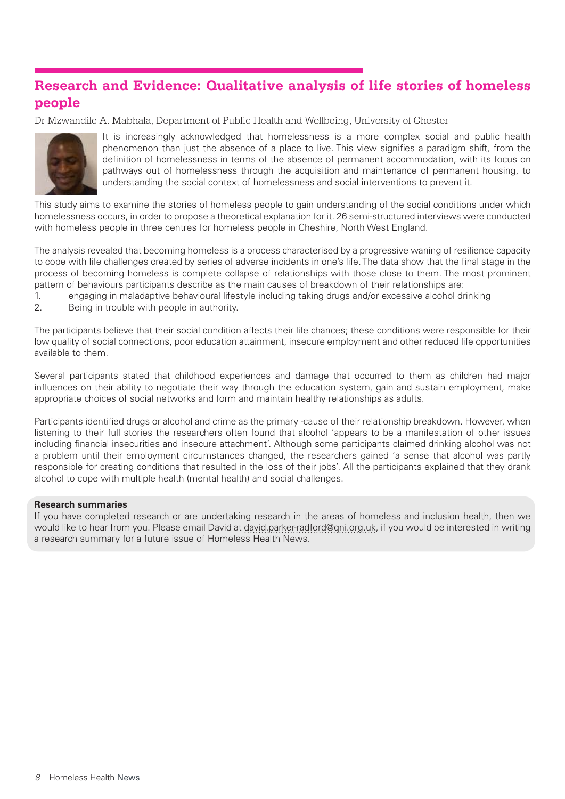# **Research and Evidence: Qualitative analysis of life stories of homeless people**

Dr Mzwandile A. Mabhala, Department of Public Health and Wellbeing, University of Chester



It is increasingly acknowledged that homelessness is a more complex social and public health phenomenon than just the absence of a place to live. This view signifies a paradigm shift, from the definition of homelessness in terms of the absence of permanent accommodation, with its focus on pathways out of homelessness through the acquisition and maintenance of permanent housing, to understanding the social context of homelessness and social interventions to prevent it.

This study aims to examine the stories of homeless people to gain understanding of the social conditions under which homelessness occurs, in order to propose a theoretical explanation for it. 26 semi-structured interviews were conducted with homeless people in three centres for homeless people in Cheshire, North West England.

The analysis revealed that becoming homeless is a process characterised by a progressive waning of resilience capacity to cope with life challenges created by series of adverse incidents in one's life. The data show that the final stage in the process of becoming homeless is complete collapse of relationships with those close to them. The most prominent pattern of behaviours participants describe as the main causes of breakdown of their relationships are:

- 1. engaging in maladaptive behavioural lifestyle including taking drugs and/or excessive alcohol drinking
- 2. Being in trouble with people in authority.

The participants believe that their social condition affects their life chances; these conditions were responsible for their low quality of social connections, poor education attainment, insecure employment and other reduced life opportunities available to them.

Several participants stated that childhood experiences and damage that occurred to them as children had major influences on their ability to negotiate their way through the education system, gain and sustain employment, make appropriate choices of social networks and form and maintain healthy relationships as adults.

Participants identified drugs or alcohol and crime as the primary -cause of their relationship breakdown. However, when listening to their full stories the researchers often found that alcohol 'appears to be a manifestation of other issues including financial insecurities and insecure attachment'. Although some participants claimed drinking alcohol was not a problem until their employment circumstances changed, the researchers gained 'a sense that alcohol was partly responsible for creating conditions that resulted in the loss of their jobs'. All the participants explained that they drank alcohol to cope with multiple health (mental health) and social challenges.

#### **Research summaries**

If you have completed research or are undertaking research in the areas of homeless and inclusion health, then we would like to hear from you. Please email David at [david.parker-radford@qni.org.uk](mailto:david.parker-radford%40qni.org.uk?subject=), if you would be interested in writing a research summary for a future issue of Homeless Health News.